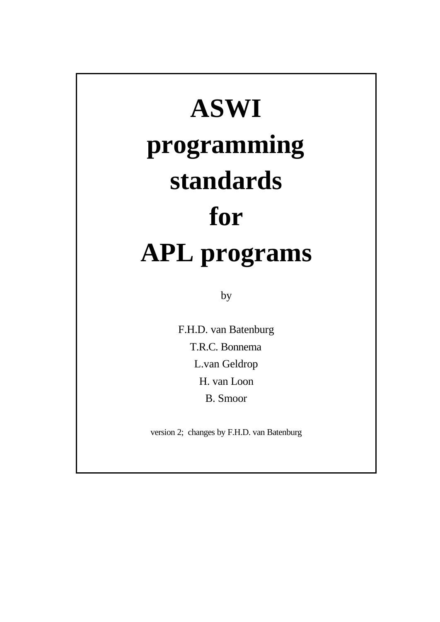# **ASWI programming standards for APL programs**

by

F.H.D. van Batenburg T.R.C. Bonnema L.van Geldrop H. van Loon B. Smoor

version 2; changes by F.H.D. van Batenburg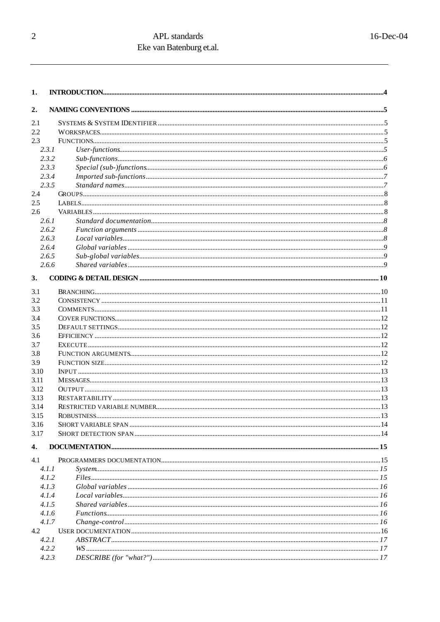| 1.    |                                                     |  |  |  |  |  |  |
|-------|-----------------------------------------------------|--|--|--|--|--|--|
| 2.    |                                                     |  |  |  |  |  |  |
| 2.1   |                                                     |  |  |  |  |  |  |
| 2.2   |                                                     |  |  |  |  |  |  |
| 2.3   |                                                     |  |  |  |  |  |  |
| 2.3.1 |                                                     |  |  |  |  |  |  |
| 2.3.2 |                                                     |  |  |  |  |  |  |
| 2.3.3 |                                                     |  |  |  |  |  |  |
| 2.3.4 |                                                     |  |  |  |  |  |  |
| 2.3.5 |                                                     |  |  |  |  |  |  |
| 2.4   |                                                     |  |  |  |  |  |  |
| 2.5   |                                                     |  |  |  |  |  |  |
| 2.6   |                                                     |  |  |  |  |  |  |
| 2.6.1 |                                                     |  |  |  |  |  |  |
| 2.6.2 |                                                     |  |  |  |  |  |  |
| 2.6.3 |                                                     |  |  |  |  |  |  |
| 2.6.4 |                                                     |  |  |  |  |  |  |
| 2.6.5 |                                                     |  |  |  |  |  |  |
| 2.6.6 |                                                     |  |  |  |  |  |  |
|       |                                                     |  |  |  |  |  |  |
| 3.    |                                                     |  |  |  |  |  |  |
| 3.1   |                                                     |  |  |  |  |  |  |
| 3.2   |                                                     |  |  |  |  |  |  |
| 3.3   |                                                     |  |  |  |  |  |  |
| 3.4   |                                                     |  |  |  |  |  |  |
| 3.5   |                                                     |  |  |  |  |  |  |
| 3.6   |                                                     |  |  |  |  |  |  |
| 3.7   |                                                     |  |  |  |  |  |  |
| 3.8   |                                                     |  |  |  |  |  |  |
| 3.9   |                                                     |  |  |  |  |  |  |
| 3.10  |                                                     |  |  |  |  |  |  |
| 3.11  |                                                     |  |  |  |  |  |  |
| 3.12  |                                                     |  |  |  |  |  |  |
| 3.13  |                                                     |  |  |  |  |  |  |
| 3.14  |                                                     |  |  |  |  |  |  |
| 3.15  |                                                     |  |  |  |  |  |  |
| 3.16  |                                                     |  |  |  |  |  |  |
| 3.17  |                                                     |  |  |  |  |  |  |
| 4.    |                                                     |  |  |  |  |  |  |
| 4.1   |                                                     |  |  |  |  |  |  |
| 4.1.1 |                                                     |  |  |  |  |  |  |
| 4.1.2 |                                                     |  |  |  |  |  |  |
| 4.1.3 | $Global variables$ manufacture constrained and $16$ |  |  |  |  |  |  |
| 4.1.4 |                                                     |  |  |  |  |  |  |
| 4.1.5 |                                                     |  |  |  |  |  |  |
| 4.1.6 |                                                     |  |  |  |  |  |  |
| 4.1.7 |                                                     |  |  |  |  |  |  |
| 4.2   |                                                     |  |  |  |  |  |  |
| 4.2.1 |                                                     |  |  |  |  |  |  |
| 4.2.2 |                                                     |  |  |  |  |  |  |
| 4.2.3 |                                                     |  |  |  |  |  |  |
|       |                                                     |  |  |  |  |  |  |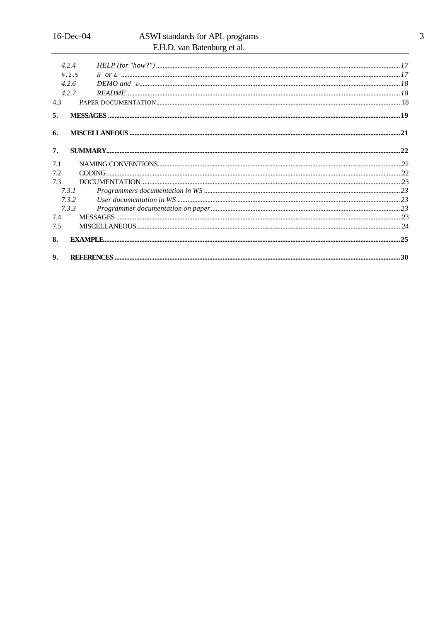|              | 4.2.4 |  |
|--------------|-------|--|
|              | 4.2.5 |  |
|              | 4.2.6 |  |
|              | 4.2.7 |  |
| 4.3          |       |  |
| 5.           |       |  |
| 6.           |       |  |
| 7.           |       |  |
| 7.1          |       |  |
| 7.2          |       |  |
| 7.3          |       |  |
|              | 7.3.1 |  |
|              | 7.3.2 |  |
|              | 7.3.3 |  |
| 7.4          |       |  |
| 7.5          |       |  |
| 8.           |       |  |
| $\mathbf{Q}$ |       |  |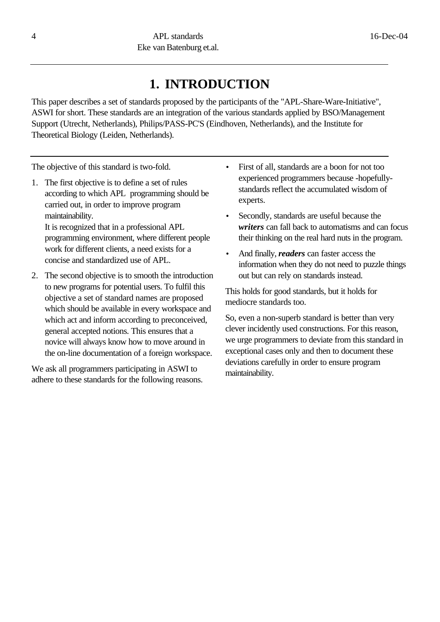# **1. INTRODUCTION**

This paper describes a set of standards proposed by the participants of the "APL-Share-Ware-Initiative", ASWI for short. These standards are an integration of the various standards applied by BSO/Management Support (Utrecht, Netherlands), Philips/PASS-PC'S (Eindhoven, Netherlands), and the Institute for Theoretical Biology (Leiden, Netherlands).

The objective of this standard is two-fold.

1. The first objective is to define a set of rules according to which APL programming should be carried out, in order to improve program maintainability.

It is recognized that in a professional APL programming environment, where different people work for different clients, a need exists for a concise and standardized use of APL.

2. The second objective is to smooth the introduction to new programs for potential users. To fulfil this objective a set of standard names are proposed which should be available in every workspace and which act and inform according to preconceived, general accepted notions. This ensures that a novice will always know how to move around in the on-line documentation of a foreign workspace.

We ask all programmers participating in ASWI to adhere to these standards for the following reasons.

- First of all, standards are a boon for not too experienced programmers because -hopefullystandards reflect the accumulated wisdom of experts.
- Secondly, standards are useful because the *writers* can fall back to automatisms and can focus their thinking on the real hard nuts in the program.
- And finally, *readers* can faster access the information when they do not need to puzzle things out but can rely on standards instead.

This holds for good standards, but it holds for mediocre standards too.

So, even a non-superb standard is better than very clever incidently used constructions. For this reason, we urge programmers to deviate from this standard in exceptional cases only and then to document these deviations carefully in order to ensure program maintainability.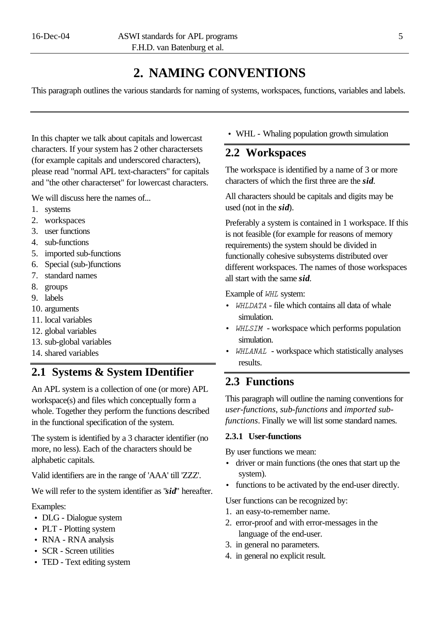# **2. NAMING CONVENTIONS**

This paragraph outlines the various standards for naming of systems, workspaces, functions, variables and labels.

In this chapter we talk about capitals and lowercast characters. If your system has 2 other charactersets (for example capitals and underscored characters), please read "normal APL text-characters" for capitals and "the other characterset" for lowercast characters.

We will discuss here the names of...

- 1. systems
- 2. workspaces
- 3. user functions
- 4. sub-functions
- 5. imported sub-functions
- 6. Special (sub-)functions
- 7. standard names
- 8. groups
- 9. labels
- 10. arguments
- 11. local variables
- 12. global variables
- 13. sub-global variables
- 14. shared variables

### **2.1 Systems & System IDentifier**

An APL system is a collection of one (or more) APL workspace(s) and files which conceptually form a whole. Together they perform the functions described in the functional specification of the system.

The system is identified by a 3 character identifier (no more, no less). Each of the characters should be alphabetic capitals.

Valid identifiers are in the range of 'AAA' till 'ZZZ'.

We will refer to the system identifier as "*sid*" hereafter.

Examples:

- DLG Dialogue system
- PLT Plotting system
- RNA RNA analysis
- SCR Screen utilities
- TED Text editing system

• WHL - Whaling population growth simulation

### **2.2 Workspaces**

The workspace is identified by a name of 3 or more characters of which the first three are the *sid*.

All characters should be capitals and digits may be used (not in the *sid*).

Preferably a system is contained in 1 workspace. If this is not feasible (for example for reasons of memory requirements) the system should be divided in functionally cohesive subsystems distributed over different workspaces. The names of those workspaces all start with the same *sid*.

Example of *WHL* system:

- *WHLDATA* file which contains all data of whale simulation.
- *WHLSIM* workspace which performs population simulation.
- *whlanal*  workspace which statistically analyses results.

### **2.3 Functions**

This paragraph will outline the naming conventions for *user-functions*, *sub-functions* and *imported subfunctions*. Finally we will list some standard names.

### **2.3.1 User-functions**

By user functions we mean:

- driver or main functions (the ones that start up the system).
- functions to be activated by the end-user directly.

User functions can be recognized by:

- 1. an easy-to-remember name.
- 2. error-proof and with error-messages in the language of the end-user.
- 3. in general no parameters.
- 4. in general no explicit result.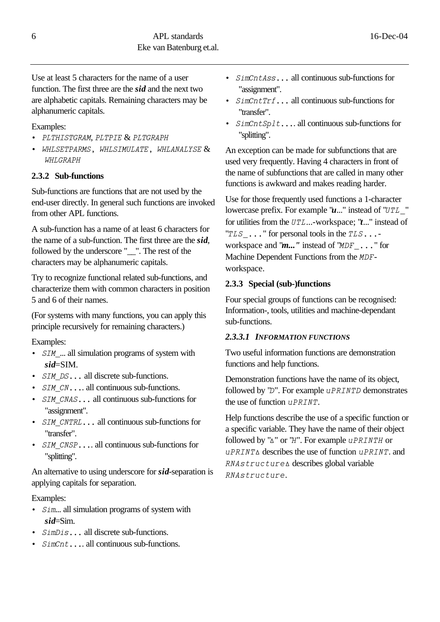Use at least 5 characters for the name of a user function. The first three are the *sid* and the next two are alphabetic capitals. Remaining characters may be alphanumeric capitals.

### Examples:

- *plthistgram*, *pltpie* & *pltgraph*
- *whlsetparms, whlsimulate, whlanalyse*& *whlgraph*

### **2.3.2 Sub-functions**

Sub-functions are functions that are not used by the end-user directly. In general such functions are invoked from other APL functions.

A sub-function has a name of at least 6 characters for the name of a sub-function. The first three are the *sid*, followed by the underscore "\_\_". The rest of the characters may be alphanumeric capitals.

Try to recognize functional related sub-functions, and characterize them with common characters in position 5 and 6 of their names.

(For systems with many functions, you can apply this principle recursively for remaining characters.)

#### Examples:

- *SIM* ... all simulation programs of system with *sid*=SIM.
- *SIM DS...* all discrete sub-functions.
- $SIM \, \textit{CN} \dots$  all continuous sub-functions.
- *SIM CNAS*... all continuous sub-functions for "assignment".
- *SIM CNTRL*... all continuous sub-functions for "transfer".
- *SIM CNSP*.... all continuous sub-functions for "splitting".

An alternative to using underscore for *sid*-separation is applying capitals for separation.

#### Examples:

- *Sim...* all simulation programs of system with *sid*=Sim.
- *SimDis...* all discrete sub-functions.
- *SimCnt*.... all continuous sub-functions.
- *SimCntAss*... all continuous sub-functions for "assignment".
- *SimCntTrf*... all continuous sub-functions for "transfer".
- *SimCntSplt*.... all continuous sub-functions for "splitting".

An exception can be made for subfunctions that are used very frequently. Having 4 characters in front of the name of subfunctions that are called in many other functions is awkward and makes reading harder.

Use for those frequently used functions a 1-character lowercase prefix. For example " $u$ ..." instead of "*UTL*" for utilities from the *utl*...-workspace; "*t*..." instead of "*TLS* ..." for personal tools in the *TLS*...workspace and " $m...$ " instead of "*MDF* ..." for Machine Dependent Functions from the *mdf*workspace.

### **2.3.3 Special (sub-)functions**

Four special groups of functions can be recognised: Information-, tools, utilities and machine-dependant sub-functions.

### *2.3.3.1 INFORMATION FUNCTIONS*

Two useful information functions are demonstration functions and help functions.

Demonstration functions have the name of its object, followed by "*D*". For example *uPRINTD* demonstrates the use of function *úprint*.

Help functions describe the use of a specific function or a specific variable. They have the name of their object followed by "*H*" or "*h*". For example *úprinth* or *úprintH* describes the use of function *úprint*. and *RNAstructure∆* describes global variable *rnaö÷õúæ÷úõè*.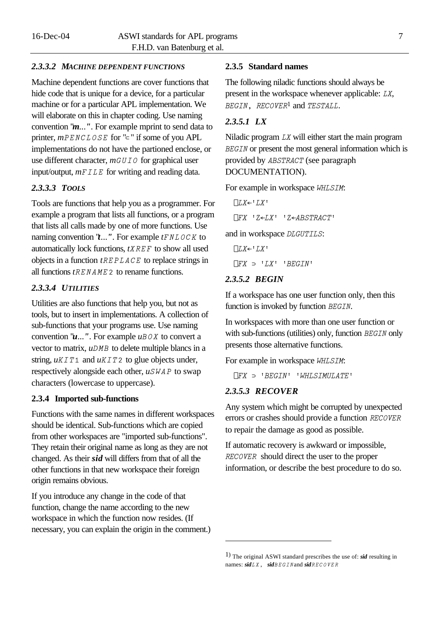#### *2.3.3.2 MACHINE DEPENDENT FUNCTIONS*

Machine dependent functions are cover functions that hide code that is unique for a device, for a particular machine or for a particular APL implementation. We will elaborate on this in chapter coding. Use naming convention "*m*...*"*. For example mprint to send data to printer,  $m$ PENCLOSE for "<sup>z</sup>" if some of you APL implementations do not have the partioned enclose, or use different character,  $mGUIO$  for graphical user input/output,  $m$ *FILE* for writing and reading data.

#### *2.3.3.3 TOOLS*

Tools are functions that help you as a programmer. For example a program that lists all functions, or a program that lists all calls made by one of more functions. Use naming convention  $'t...$ ... For example  $tFNLOCK$  to automatically lock functions, *txref* to show all used objects in a function *treplace* to replace strings in all functions  $t$ *RENAME* 2 to rename functions.

### *2.3.3.4 UTILITIES*

Utilities are also functions that help you, but not as tools, but to insert in implementations. A collection of sub-functions that your programs use. Use naming convention " $u$ ...". For example  $u$ *BOX* to convert a vector to matrix,  $uDMB$  to delete multiple blancs in a string,  $uKTT1$  and  $uKTT2$  to glue objects under, respectively alongside each other,  $\mu$ *SWAP* to swap characters (lowercase to uppercase).

#### **2.3.4 Imported sub-functions**

Functions with the same names in different workspaces should be identical. Sub-functions which are copied from other workspaces are "imported sub-functions". They retain their original name as long as they are not changed. As their *sid* will differs from that of all the other functions in that new workspace their foreign origin remains obvious.

If you introduce any change in the code of that function, change the name according to the new workspace in which the function now resides. (If necessary, you can explain the origin in the comment.)

#### **2.3.5 Standard names**

The following niladic functions should always be present in the workspace whenever applicable: *lx*, *begin, recover*1 and *testall*.

### *2.3.5.1 LX*

Niladic program *lx* will either start the main program *BEGIN* or present the most general information which is provided by *abstract* (see paragraph DOCUMENTATION).

For example in workspace *whlsim*:

```
\bigcap L X \leftarrow^{\dagger} L X<sup>I</sup>
    \prodFX Z \leftarrowLX Y \leftarrowZ\leftarrowABSTRACT
and in workspace dlgutils:
```
 $\bigcap L X \leftarrow^{\dagger} L X^{\dagger}$  $\bigcap FX$   $\supset$  ' $LX$ ' 'BEGIN'

#### *2.3.5.2 BEGIN*

If a workspace has one user function only, then this function is invoked by function *BEGIN*.

In workspaces with more than one user function or with sub-functions (utilities) only, function *BEGIN* only presents those alternative functions.

For example in workspace *whlsim*:

 $\Box FX$   $\supset$  'BEGIN' 'WHLSIMULATE'

#### *2.3.5.3 RECOVER*

l

Any system which might be corrupted by unexpected errors or crashes should provide a function *recover* to repair the damage as good as possible.

If automatic recovery is awkward or impossible, *recover* should direct the user to the proper information, or describe the best procedure to do so.

<sup>1</sup>) The original ASWI standard prescribes the use of: *sid* resulting in names: *sidlx, sidbegin*and *sidrecover*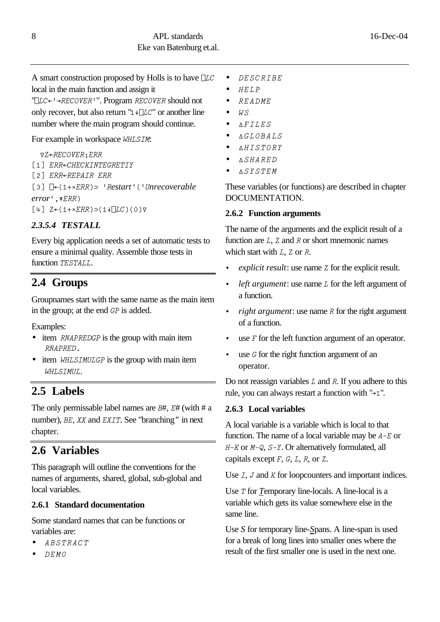A smart construction proposed by Holls is to have *Llc* local in the main function and assign it

"*Llc[K]recoverK*". Program *recover* should not only recover, but also return " $1 + \Box LC$ " or another line number where the main program should continue.

### For example in workspace *whlsim*:

 $\nabla Z \leftarrow$ *RECOVER*; ERR

[1] ERR<CHECKINTEGRETIY

*;2' err[repair err ;3' L[:1-=err"X KrestartK:Kunrecoverable error*<sup>*'*</sup>, *₹ERR*)  $[4]$   $Z \leftarrow (1+ \times ERR) \supset (1 + \sqrt{LC})(0) \nabla$ 

### *2.3.5.4 TESTALL*

Every big application needs a set of automatic tests to ensure a minimal quality. Assemble those tests in function *TESTALL*.

# **2.4 Groups**

Groupnames start with the same name as the main item in the group; at the end *gp* is added.

Examples:

- item *RNAPREDGP* is the group with main item *rnapred.*
- item *WHLSIMULGP* is the group with main item *whlsimul*.

# **2.5 Labels**

The only permissable label names are *B*#, *E*# (with # a number), *be*, *xx* and *exit*. See "branching*"* in next chapter.

# **2.6 Variables**

This paragraph will outline the conventions for the names of arguments, shared, global, sub-global and local variables.

### **2.6.1 Standard documentation**

Some standard names that can be functions or variables are:

- *abstract*
- *demo*
- *describe*
- $\bullet$  *HELP*
- *readme*
- $\bullet$  *W.S*
- *Hfiles*
- *Hglobals*
- *Hhistory*
- *Hshared*
- *Hsystem*

These variables (or functions) are described in chapter DOCUMENTATION.

### **2.6.2 Function arguments**

The name of the arguments and the explicit result of a function are *l*, *z* and *r* or short mnemonic names which start with *L*, *Z* or *R*.

- *explicit result*: use name *z* for the explicit result.
- *left argument*: use name *l* for the left argument of a function.
- *right argument*: use name *R* for the right argument of a function.
- use  $F$  for the left function argument of an operator.
- use *G* for the right function argument of an operator.

Do not reassign variables *l* and *r*. If you adhere to this rule, you can always restart a function with " $\rightarrow$ 1".

### **2.6.3 Local variables**

A local variable is a variable which is local to that function. The name of a local variable may be  $A-E$  or *h\_k* or *m\_q*, *s\_y*. Or alternatively formulated, all capitals except *f*, *g*, *l*, *r*, or *z*.

Use *I*, *J* and *K* for loopcounters and important indices.

Use *T* for *Temporary* line-locals. A line-local is a variable which gets its value somewhere else in the same line.

Use *S* for temporary line-*S*pans. A line-span is used for a break of long lines into smaller ones where the result of the first smaller one is used in the next one.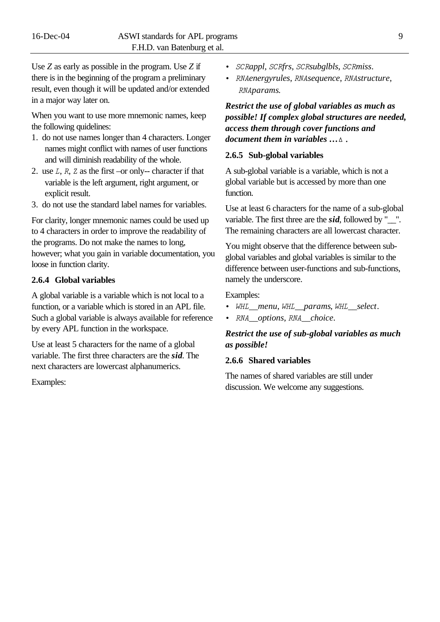Use *Z* as early as possible in the program. Use *Z* if there is in the beginning of the program a preliminary result, even though it will be updated and/or extended in a major way later on.

When you want to use more mnemonic names, keep the following quidelines:

- 1. do not use names longer than 4 characters. Longer names might conflict with names of user functions and will diminish readability of the whole.
- 2. use *l*, *r*, *z* as the first –or only-- character if that variable is the left argument, right argument, or explicit result.
- 3. do not use the standard label names for variables.

For clarity, longer mnemonic names could be used up to 4 characters in order to improve the readability of the programs. Do not make the names to long, however; what you gain in variable documentation, you loose in function clarity.

#### **2.6.4 Global variables**

A global variable is a variable which is not local to a function, or a variable which is stored in an APL file. Such a global variable is always available for reference by every APL function in the workspace.

Use at least 5 characters for the name of a global variable. The first three characters are the *sid*. The next characters are lowercast alphanumerics.

Examples:

- *scrappl*, *scrfrs*, *scrsubglbls*, *scrmiss*.
- *rnaenergyrules*, *rnasequence*, *rnastructure*, *rnaparams*.

*Restrict the use of global variables as much as possible! If complex global structures are needed, access them through cover functions and document them in variables*  $\dots \Delta$ .

#### **2.6.5 Sub-global variables**

A sub-global variable is a variable, which is not a global variable but is accessed by more than one function.

Use at least 6 characters for the name of a sub-global variable. The first three are the *sid*, followed by "\_\_". The remaining characters are all lowercast character.

You might observe that the difference between subglobal variables and global variables is similar to the difference between user-functions and sub-functions, namely the underscore.

Examples:

- *whl*\_\_*menu*, *whl*\_\_*params*, *whl*\_\_*select*.
- *rna*\_\_*options*, *rna*\_\_*choice*.

#### *Restrict the use of sub-global variables as much as possible!*

#### **2.6.6 Shared variables**

The names of shared variables are still under discussion. We welcome any suggestions.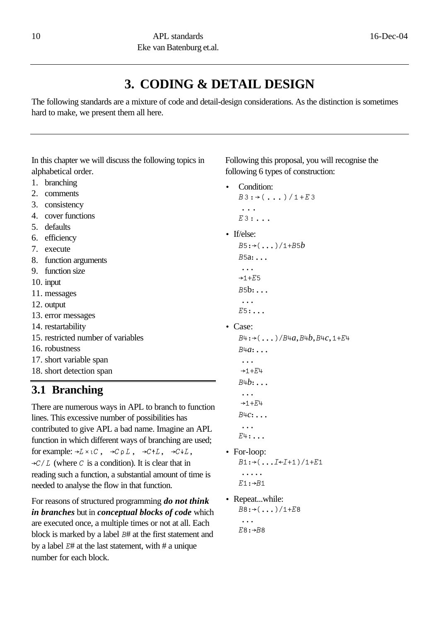# **3. CODING & DETAIL DESIGN**

The following standards are a mixture of code and detail-design considerations. As the distinction is sometimes hard to make, we present them all here.

In this chapter we will discuss the following topics in alphabetical order.

- 1. branching
- 2. comments
- 3. consistency
- 4. cover functions
- 5. defaults
- 6. efficiency
- 7. execute
- 8. function arguments
- 9. function size
- 10. input
- 11. messages
- 12. output
- 13. error messages
- 14. restartability
- 15. restricted number of variables
- 16. robustness
- 17. short variable span
- 18. short detection span

### **3.1 Branching**

There are numerous ways in APL to branch to function lines. This excessive number of possibilities has contributed to give APL a bad name. Imagine an APL function in which different ways of branching are used; for example:  $\rightarrow L \times \iota C$ ,  $\rightarrow C \rho L$ ,  $\rightarrow C \star L$ ,  $\rightarrow C \star L$ ,  $\rightarrow$ *C*/*L* (where *C* is a condition). It is clear that in reading such a function, a substantial amount of time is needed to analyse the flow in that function.

For reasons of structured programming *do not think in branches* but in *conceptual blocks of code* which are executed once, a multiple times or not at all. Each block is marked by a label *b*# at the first statement and by a label *e*# at the last statement, with # a unique number for each block.

Following this proposal, you will recognise the following 6 types of construction:

- Condition:  $B3:-(\ldots)/1+E3$ *... e3>...*
- If/else:

```
B5:\rightarrow(...)/1+B5bb5a>...
...
+1+E5b5b>...
...
e5>...
```
• Case:

```
B4:+(...)/B4a, B4b, B4c, 1+E4b4a>...
...
+1+E4
b4b>...
 ...
```
 $+1+E+$ *b4c>... ...*

 $E+$ :  $\ldots$ 

- For-loop:  $B1:\rightarrow$   $($ ... $I \leftarrow I+1)/1+E1$ *.....*  $E1: \rightarrow B1$
- Repeat...while:  $B8:>(...)/1+E8$ *... E8*:→*B8*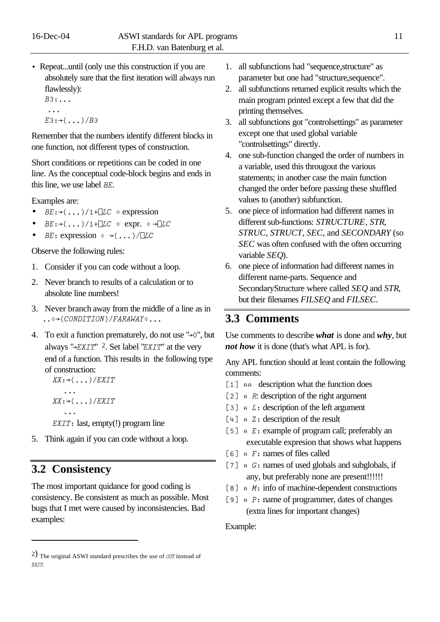• Repeat...until (only use this construction if you are absolutely sure that the first iteration will always run flawlessly):

```
b3>...
 ...
E3:\rightarrow(... )/B3
```
Remember that the numbers identify different blocks in one function, not different types of construction.

Short conditions or repetitions can be coded in one line. As the conceptual code-block begins and ends in this line, we use label *be*.

Examples are:

- $BE:((\ldots))/1 + \Box LC \diamond$  expression
- $BE: \rightarrow (.,.)/1+TLC$   $\circ$  **expr.**  $\circ \rightarrow TLC$
- *BE*: expression  $\circ \rightarrow (...)/\Box LC$

Observe the following rules:

- 1. Consider if you can code without a loop.
- 2. Never branch to results of a calculation or to absolute line numbers!
- 3. Never branch away from the middle of a line as in  $\ldots$ <sup>2</sup>/(*CONDITION*)/*FARAWAY*
- 4. To exit a function prematurely, do not use  $\rightarrow 0$ ", but always " $\rightarrow$ *EXIT*" <sup>2</sup>. Set label "*EXIT*" at the very end of a function. This results in the following type of construction:

```
XX:\rightarrow (\ldots)/EXIT...
xx: \rightarrow (...)/EXIT
    ...
```
*EXIT*: last, empty(!) program line

5. Think again if you can code without a loop.

### **3.2 Consistency**

l

The most important quidance for good coding is consistency. Be consistent as much as possible. Most bugs that I met were caused by inconsistencies. Bad examples:

- 1. all subfunctions had "sequence,structure" as parameter but one had "structure,sequence".
- 2. all subfunctions returned explicit results which the main program printed except a few that did the printing themselves.
- 3. all subfunctions got "controlsettings" as parameter except one that used global variable "controlsettings" directly.
- 4. one sub-function changed the order of numbers in a variable, used this througout the various statements; in another case the main function changed the order before passing these shuffled values to (another) subfunction.
- 5. one piece of information had different names in different sub-functions: *STRUCTURE*, *STR*, *STRUC*, *STRUCT*, *SEC*, and *SECONDARY* (so *SEC* was often confused with the often occurring variable *SEQ*).
- 6. one piece of information had different names in different name-parts. Sequence and SecondaryStructure where called *SEQ* and *STR*, but their filenames *FILSEQ* and *FILSEC*.

### **3.3 Comments**

Use comments to describe *what* is done and *why*, but *not how* it is done (that's what APL is for).

Any APL function should at least contain the following comments:

- [1]  $\alpha \alpha$  description what the function does
- [2]  $\alpha$  *R*: description of the right argument
- [3]  $\alpha$  *L*: description of the left argument
- [4]  $\alpha$  *Z*: description of the result
- [5]  $\alpha$  *E*: example of program call; preferably an executable expresion that shows what happens
- *;6' ~ f>* names of files called
- [7]  $\alpha$  *G*: names of used globals and subglobals, if any, but preferably none are present!!!!!!
- [8]  $\alpha$  *M*: info of machine-dependent constructions
- [9]  $\alpha$  *P*: name of programmer, dates of changes (extra lines for important changes)

#### Example:

<sup>2</sup>) The original ASWI standard prescribes the use of *out* instead of *exit*.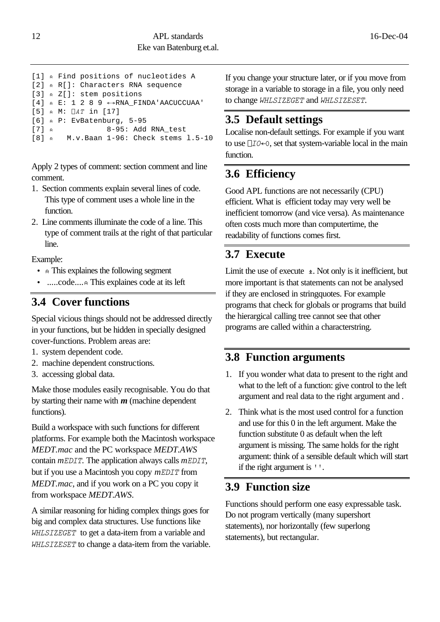```
[1] ~ Find positions of nucleotides A
[2] ~ R[]: Characters RNA sequence
[3] ~ Z[]: stem positions
[4] \land E: 1 2 8 9 \leftrightarrowRNA FINDA'AACUCCUAA'
[5] ~ M: Lat in [17]
[6] ~ P: EvBatenburg, 5-95
[7] ~ 8-95: Add RNA_test
[8] ~ M.v.Baan 1-96: Check stems l.5-10
```
Apply 2 types of comment: section comment and line comment.

- 1. Section comments explain several lines of code. This type of comment uses a whole line in the function.
- 2. Line comments illuminate the code of a line. This type of comment trails at the right of that particular line.

Example:

- **A** This explaines the following segment
- .....code....*~* This explaines code at its left

### **3.4 Cover functions**

Special vicious things should not be addressed directly in your functions, but be hidden in specially designed cover-functions. Problem areas are:

- 1. system dependent code.
- 2. machine dependent constructions.
- 3. accessing global data.

Make those modules easily recognisable. You do that by starting their name with *m* (machine dependent functions).

Build a workspace with such functions for different platforms. For example both the Macintosh workspace *MEDT.mac* and the PC workspace *MEDT.AWS* contain *mEDIT*. The application always calls *mEDIT*, but if you use a Macintosh you copy *mEDIT* from *MEDT.mac*, and if you work on a PC you copy it from workspace *MEDT.AWS*.

A similar reasoning for hiding complex things goes for big and complex data structures. Use functions like *whlsizeget* to get a data-item from a variable and *whlsizeset* to change a data-item from the variable. If you change your structure later, or if you move from storage in a variable to storage in a file, you only need to change *whlsizeget* and *whlsizeset*.

### **3.5 Default settings**

Localise non-default settings. For example if you want to use  $\Box$ *I* $0$  $\leftarrow$ <sup>0</sup>, set that system-variable local in the main function.

# **3.6 Efficiency**

Good APL functions are not necessarily (CPU) efficient. What is efficient today may very well be inefficient tomorrow (and vice versa). As maintenance often costs much more than computertime, the readability of functions comes first.

# **3.7 Execute**

Limit the use of execute  $\triangle$ . Not only is it inefficient, but more important is that statements can not be analysed if they are enclosed in stringquotes. For example programs that check for globals or programs that build the hierargical calling tree cannot see that other programs are called within a characterstring.

### **3.8 Function arguments**

- 1. If you wonder what data to present to the right and what to the left of a function: give control to the left argument and real data to the right argument and .
- 2. Think what is the most used control for a function and use for this 0 in the left argument. Make the function substitute 0 as default when the left argument is missing. The same holds for the right argument: think of a sensible default which will start if the right argument is <sup>*k*</sup>.

### **3.9 Function size**

Functions should perform one easy expressable task. Do not program vertically (many supershort statements), nor horizontally (few superlong statements), but rectangular.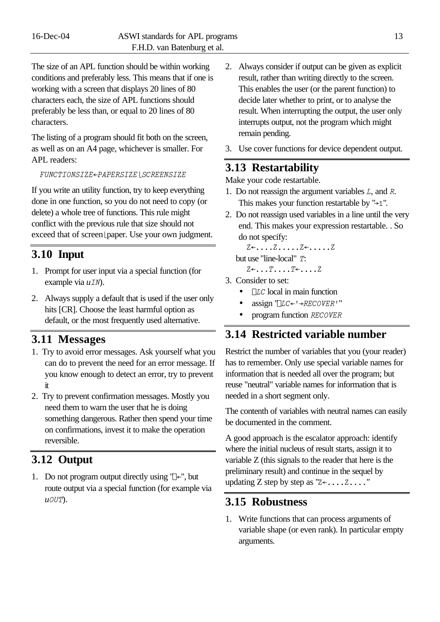The size of an APL function should be within working conditions and preferably less. This means that if one is working with a screen that displays 20 lines of 80 characters each, the size of APL functions should preferably be less than, or equal to 20 lines of 80 characters.

The listing of a program should fit both on the screen, as well as on an A4 page, whichever is smaller. For APL readers:

 $FUNCTIONSIZE \leftarrow PAPERSIZE$  | SCREENSIZE

If you write an utility function, try to keep everything done in one function, so you do not need to copy (or delete) a whole tree of functions. This rule might conflict with the previous rule that size should not exceed that of screen [paper. Use your own judgment.

### **3.10 Input**

- 1. Prompt for user input via a special function (for example via  $uIN$ ).
- 2. Always supply a default that is used if the user only hits [CR]. Choose the least harmful option as default, or the most frequently used alternative.

### **3.11 Messages**

- 1. Try to avoid error messages. Ask yourself what you can do to prevent the need for an error message. If you know enough to detect an error, try to prevent it
- 2. Try to prevent confirmation messages. Mostly you need them to warn the user that he is doing something dangerous. Rather then spend your time on confirmations, invest it to make the operation reversible.

### **3.12 Output**

1. Do not program output directly using ' $\mathbb{R}^n$ , but route output via a special function (for example via *uout*).

- 2. Always consider if output can be given as explicit result, rather than writing directly to the screen. This enables the user (or the parent function) to decide later whether to print, or to analyse the result. When interrupting the output, the user only interrupts output, not the program which might remain pending.
- 3. Use cover functions for device dependent output.

### **3.13 Restartability**

Make your code restartable.

- 1. Do not reassign the argument variables *l*, and *r*. This makes your function restartable by " $\rightarrow$ 1".
- 2. Do not reassign used variables in a line until the very end. This makes your expression restartable. . So do not specify:

*z[....z.....z[.....z*

but use "line-local" T:

 $Z \leftarrow \ldots T \ldots T \leftarrow \ldots Z$ 

- 3. Consider to set:
	- *LC* local in main function
	- assign '*<sup>LC←'→RECOVER''*</sup>
	- program function *recover*

### **3.14 Restricted variable number**

Restrict the number of variables that you (your reader) has to remember. Only use special variable names for information that is needed all over the program; but reuse "neutral" variable names for information that is needed in a short segment only.

The contenth of variables with neutral names can easily be documented in the comment.

A good approach is the escalator approach: identify where the initial nucleus of result starts, assign it to variable Z (this signals to the reader that here is the preliminary result) and continue in the sequel by updating Z step by step as  $"Z \leftarrow \dots Z \dots"$ 

### **3.15 Robustness**

1. Write functions that can process arguments of variable shape (or even rank). In particular empty arguments.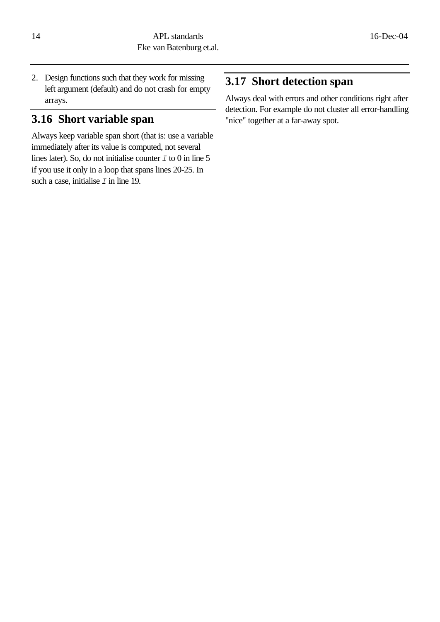2. Design functions such that they work for missing left argument (default) and do not crash for empty arrays.

### **3.16 Short variable span**

Always keep variable span short (that is: use a variable immediately after its value is computed, not several lines later). So, do not initialise counter *i* to 0 in line 5 if you use it only in a loop that spans lines 20-25. In such a case, initialise  $I$  in line 19.

## **3.17 Short detection span**

Always deal with errors and other conditions right after detection. For example do not cluster all error-handling "nice" together at a far-away spot.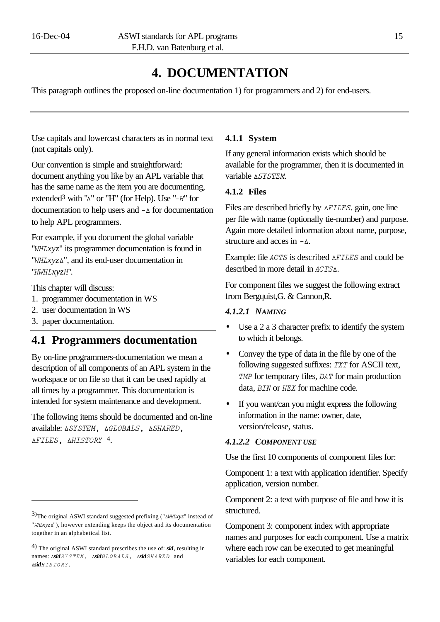# **4. DOCUMENTATION**

This paragraph outlines the proposed on-line documentation 1) for programmers and 2) for end-users.

Use capitals and lowercast characters as in normal text (not capitals only).

Our convention is simple and straightforward: document anything you like by an APL variable that has the same name as the item you are documenting, extended<sup>3</sup> with "∆" or "H" (for Help). Use "-*H*" for documentation to help users and *−*∆ for documentation to help APL programmers.

For example, if you document the global variable "*whlxyz*" its programmer documentation is found in "*WHLxyz*<sup> $\Delta$ ", and its end-user documentation in</sup> "*hwhlxyzh*".

This chapter will discuss:

- 1. programmer documentation in WS
- 2. user documentation in WS
- 3. paper documentation.

l

### **4.1 Programmers documentation**

By on-line programmers-documentation we mean a description of all components of an APL system in the workspace or on file so that it can be used rapidly at all times by a programmer. This documentation is intended for system maintenance and development.

The following items should be documented and on-line available:  $\triangle SYSTEM$ ,  $\triangle GLOBALS$ ,  $\triangle SHARED$ , *Hfiles, Hhistory* 4.

#### **4.1.1 System**

If any general information exists which should be available for the programmer, then it is documented in variable **ASYSTEM**.

### **4.1.2 Files**

Files are described briefly by *AFILES*. gain, one line per file with name (optionally tie-number) and purpose. Again more detailed information about name, purpose, structure and acces in  $-\Delta$ .

Example: file *ACTS* is described *AFILES* and could be described in more detail in *ACTSA*.

For component files we suggest the following extract from Bergquist,G. & Cannon,R.

#### *4.1.2.1 NAMING*

- Use a 2 a 3 character prefix to identify the system to which it belongs.
- Convey the type of data in the file by one of the following suggested suffixes: *txt* for ASCII text, *TMP* for temporary files, *DAT* for main production data, *BIN* or *HEX* for machine code.
- If you want/can you might express the following information in the name: owner, date, version/release, status.

#### *4.1.2.2 COMPONENT USE*

Use the first 10 components of component files for:

Component 1: a text with application identifier. Specify application, version number.

Component 2: a text with purpose of file and how it is structured.

Component 3: component index with appropriate names and purposes for each component. Use a matrix where each row can be executed to get meaningful variables for each component.

<sup>3)</sup>The original ASWI standard suggested prefixing (" $\Delta W H L X y z$ " instead of  $"WH Lxyz\Delta"$ , however extending keeps the object and its documentation together in an alphabetical list.

<sup>4</sup>) The original ASWI standard prescribes the use of: *sid*, resulting in names:  $\Delta \text{sid } \text{SY} \text{STEM}$ ,  $\Delta \text{sid} \text{GL} \text{OBALS}$ ,  $\Delta \text{sid} \text{SHAREN}$  and *Hsidhistory*.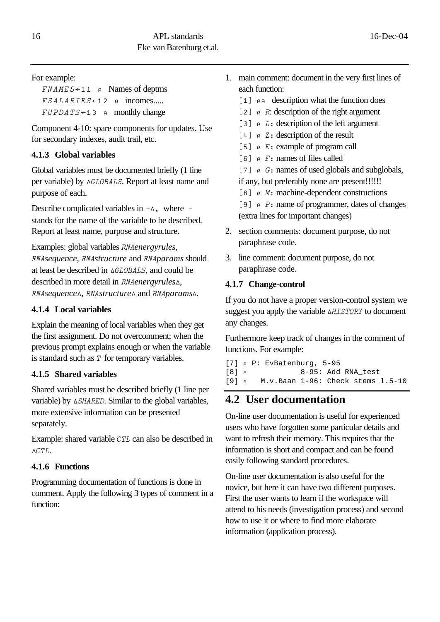### For example:

 $FNAMES+11$   $\alpha$  Names of deptms  $FSALARIES \leftarrow 12$  a incomes.....  $FUPDATS+13$  a monthly change

Component 4-10: spare components for updates. Use for secondary indexes, audit trail, etc.

### **4.1.3 Global variables**

Global variables must be documented briefly (1 line per variable) by **AGLOBALS**. Report at least name and purpose of each.

Describe complicated variables in  $-\Delta$ , where – stands for the name of the variable to be described. Report at least name, purpose and structure.

Examples: global variables *rnaenergyrules*, *rnasequence*, *rnastructure* and *rnaparams* should at least be described in  $\triangle GLOBALS$ , and could be described in more detail in *rnaenergyrulesH*, *RNAsequence*<sup>*A*</sup>, *RNAstructure*<sup>∆</sup> and *RNAparams*<sup>∆</sup>.

### **4.1.4 Local variables**

Explain the meaning of local variables when they get the first assignment. Do not overcomment; when the previous prompt explains enough or when the variable is standard such as *T* for temporary variables.

### **4.1.5 Shared variables**

Shared variables must be described briefly (1 line per variable) by **ASHARED**. Similar to the global variables, more extensive information can be presented separately.

Example: shared variable *CTL* can also be described in *Hctl*.

### **4.1.6 Functions**

Programming documentation of functions is done in comment. Apply the following 3 types of comment in a function:

- 1. main comment: document in the very first lines of each function:
	- [1]  $\alpha \alpha$  description what the function does
	- [2]  $\alpha$  *R*: description of the right argument
	- [3]  $\alpha$  *L*: description of the left argument
	- [4]  $\alpha$  *Z*: description of the result
	- [5]  $\land$  *E* : example of program call
	- *;6' ~ f>* names of files called

[7]  $\alpha$  *G*: names of used globals and subglobals, if any, but preferably none are present!!!!!!

[8]  $\land$  *M*: machine-dependent constructions

[9]  $\alpha$  *P*: name of programmer, dates of changes (extra lines for important changes)

- 2. section comments: document purpose, do not paraphrase code.
- 3. line comment: document purpose, do not paraphrase code.

### **4.1.7 Change-control**

If you do not have a proper version-control system we suggest you apply the variable *Hhistory* to document any changes.

Furthermore keep track of changes in the comment of functions. For example:

[7] *~* P: EvBatenburg, 5-95 [8] *~* 8-95: Add RNA\_test [9] *~* M.v.Baan 1-96: Check stems l.5-10

# **4.2 User documentation**

On-line user documentation is useful for experienced users who have forgotten some particular details and want to refresh their memory. This requires that the information is short and compact and can be found easily following standard procedures.

On-line user documentation is also useful for the novice, but here it can have two different purposes. First the user wants to learn if the workspace will attend to his needs (investigation process) and second how to use it or where to find more elaborate information (application process).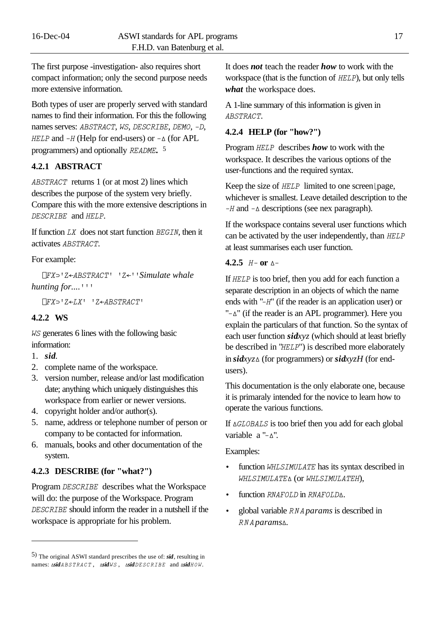The first purpose -investigation- also requires short compact information; only the second purpose needs more extensive information.

Both types of user are properly served with standard names to find their information. For this the following names serves: *abstract*, *ws*, *describe*, *demo*, *\_d*, *HELP* and  $-H$  (Help for end-users) or  $-\Delta$  (for APL programmers) and optionally *README*.<sup>5</sup>

### **4.2.1 ABSTRACT**

*abstract* returns 1 (or at most 2) lines which describes the purpose of the system very briefly. Compare this with the more extensive descriptions in *describe* and *help*.

If function *lx* does not start function *begin*, then it activates *abstract*.

#### For example:

 $\Box$ *FX*<sup>2</sup> ' Z←ABSTRACT' ' Z←' ' Simulate whale *hunting for....*<sup>111</sup>

 $LFX$ <sup>*I*</sup> $Z$ <sup> $\leftarrow$ </sup> $LX'$ <sup>*I*</sup> $Z$  $\leftarrow$ *ABSTRACT'* 

#### **4.2.2 WS**

*ws* generates 6 lines with the following basic information:

1. *sid*.

l

- 2. complete name of the workspace.
- 3. version number, release and/or last modification date; anything which uniquely distinguishes this workspace from earlier or newer versions.
- 4. copyright holder and/or author(s).
- 5. name, address or telephone number of person or company to be contacted for information.
- 6. manuals, books and other documentation of the system.

#### **4.2.3 DESCRIBE (for "what?")**

Program *DESCRIBE* describes what the Workspace will do: the purpose of the Workspace. Program *describe* should inform the reader in a nutshell if the workspace is appropriate for his problem.

It does *not* teach the reader *how* to work with the workspace (that is the function of *help*), but only tells *what* the workspace does.

A 1-line summary of this information is given in *abstract*.

#### **4.2.4 HELP (for "how?")**

Program *help* describes *how* to work with the workspace. It describes the various options of the user-functions and the required syntax.

Keep the size of *HELP* limited to one screen [page, whichever is smallest. Leave detailed description to the *\_h* and *\_H* descriptions (see nex paragraph).

If the workspace contains several user functions which can be activated by the user independently, than *HELP* at least summarises each user function.

### **4.2.5** *h\_* **or** *H\_*

If **HELP** is too brief, then you add for each function a separate description in an objects of which the name ends with "*\_h*" (if the reader is an application user) or  $"-\Delta"$  (if the reader is an APL programmer). Here you explain the particulars of that function. So the syntax of each user function *sidxyz* (which should at least briefly be described in "*HELP*") is described more elaborately in *sidxyzH* (for programmers) or *sidxyzH* (for endusers).

This documentation is the only elaborate one, because it is primaraly intended for the novice to learn how to operate the various functions.

```
If \triangle GLOBALS is too brief then you add for each global
variable a "-\Delta".
```
#### Examples:

- function *whlsimulate* has its syntax described in *whlsimulateH* (or *whlsimulateh*),
- function *RNAFOLD* in *RNAFOLD*<sub>A</sub>.
- global variable *rnaparams* is described in *rnaparamsH.*

<sup>5</sup>) The original ASWI standard prescribes the use of: *sid*, resulting in names:  $\Delta \textbf{s} \textbf{d} \textbf{A} \textbf{B} \textbf{S} \textbf{T} \textbf{R} \textbf{A} \textbf{C} \textbf{T}$ ,  $\Delta \textbf{s} \textbf{d} \textbf{d} \textbf{W} \textbf{S}$ ,  $\Delta \textbf{s} \textbf{d} \textbf{d} \textbf{D} \textbf{E} \textbf{S} \textbf{C} \textbf{R} \textbf{I} \textbf{B} \textbf{E}$  and  $\Delta \textbf{s} \textbf{d} \textbf{H} \textbf{O} \textbf{W}$ .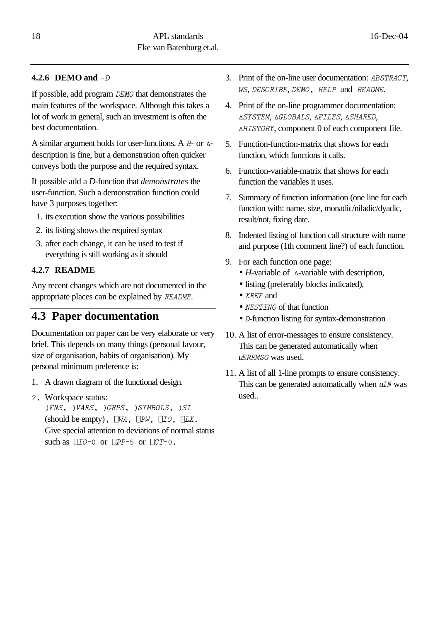### **4.2.6 DEMO and** *\_d*

If possible, add program *demo* that demonstrates the main features of the workspace. Although this takes a lot of work in general, such an investment is often the best documentation.

A similar argument holds for user-functions. A *h*- or *H*description is fine, but a demonstration often quicker conveys both the purpose and the required syntax.

If possible add a *D-*function that *demonstrates* the user-function. Such a demonstration function could have 3 purposes together:

- 1. its execution show the various possibilities
- 2. its listing shows the required syntax
- 3. after each change, it can be used to test if everything is still working as it should

### **4.2.7 README**

Any recent changes which are not documented in the appropriate places can be explained by *README*.

### **4.3 Paper documentation**

Documentation on paper can be very elaborate or very brief. This depends on many things (personal favour, size of organisation, habits of organisation). My personal minimum preference is:

- 1. A drawn diagram of the functional design.
- *2.* Workspace status:

*"fns, "vars, "grps, "symbols, "si* (should be empty),  $\Box WA$ ,  $\Box PW$ ,  $\Box IO$ ,  $\Box LX$ . Give special attention to deviations of normal status such as  $\Box$ *IO*=0 or  $\Box$ *PP*=5 or  $\Box$ *CT*=0.

- 3. Print of the on-line user documentation: *abstract*, *ws*, *describe*, *demo, help* and *readme*.
- 4. Print of the on-line programmer documentation: *Hsystem*, *Hglobals*, *Hfiles*, *Hshared*, *Hhistory*, component 0 of each component file.
- 5. Function-function-matrix that shows for each function, which functions it calls.
- 6. Function-variable-matrix that shows for each function the variables it uses.
- 7. Summary of function information (one line for each function with: name, size, monadic/niladic/dyadic, result/not, fixing date.
- 8. Indented listing of function call structure with name and purpose (1th comment line?) of each function.
- 9. For each function one page:
	- *H*-variable of  $\Delta$ -variable with description,
	- listing (preferably blocks indicated),
	- *xref* and
	- *NESTING* of that function
	- *D*-function listing for syntax-demonstration
- 10. A list of error-messages to ensure consistency. This can be generated automatically when *uerrmsg* was used.
- 11. A list of all 1-line prompts to ensure consistency. This can be generated automatically when *uin* was used..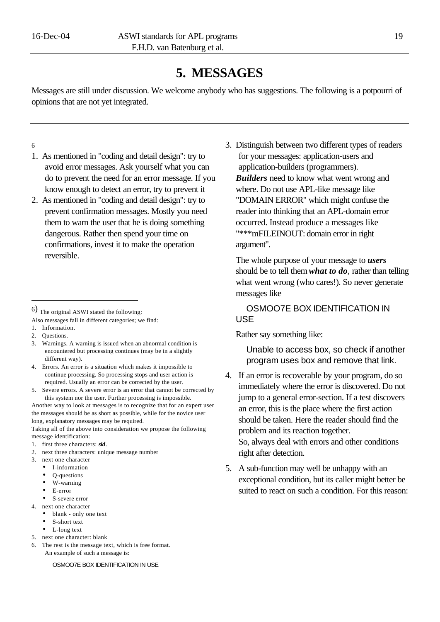# **5. MESSAGES**

Messages are still under discussion. We welcome anybody who has suggestions. The following is a potpourri of opinions that are not yet integrated.

6

- 1. As mentioned in "coding and detail design": try to avoid error messages. Ask yourself what you can do to prevent the need for an error message. If you know enough to detect an error, try to prevent it
- 2. As mentioned in "coding and detail design": try to prevent confirmation messages. Mostly you need them to warn the user that he is doing something dangerous. Rather then spend your time on confirmations, invest it to make the operation reversible.

- Also messages fall in different categories; we find:
- 1. Information.
- 2. Questions.

j

- 3. Warnings. A warning is issued when an abnormal condition is encountered but processing continues (may be in a slightly different way).
- 4. Errors. An error is a situation which makes it impossible to continue processing. So processing stops and user action is required. Usually an error can be corrected by the user.
- 5. Severe errors. A severe error is an error that cannot be corrected by this system nor the user. Further processing is impossible.

Another way to look at messages is to recognize that for an expert user the messages should be as short as possible, while for the novice user long, explanatory messages may be required.

Taking all of the above into consideration we propose the following message identification:

- 1. first three characters: *sid*.
- 2. next three characters: unique message number
- 3. next one character
	- I-information
	- Q-questions
	- W-warning
	- E-error
	- S-severe error
- 4. next one character
- blank only one text
	- S-short text • L-long text
- 5. next one character: blank
- 6. The rest is the message text, which is free format. An example of such a message is:

OSMOO7E BOX IDENTIFICATION IN USE

3. Distinguish between two different types of readers for your messages: application-users and application-builders (programmers). *Builders* need to know what went wrong and where. Do not use APL-like message like "DOMAIN ERROR" which might confuse the reader into thinking that an APL-domain error occurred. Instead produce a messages like "\*\*\*mFILEINOUT: domain error in right argument".

The whole purpose of your message to *users* should be to tell them*what to do,* rather than telling what went wrong (who cares!). So never generate messages like

OSMOO7E BOX IDENTIFICATION IN USE

Rather say something like:

Unable to access box, so check if another program uses box and remove that link.

- 4. If an error is recoverable by your program, do so immediately where the error is discovered. Do not jump to a general error-section. If a test discovers an error, this is the place where the first action should be taken. Here the reader should find the problem and its reaction together. So, always deal with errors and other conditions right after detection.
- 5. A sub-function may well be unhappy with an exceptional condition, but its caller might better be suited to react on such a condition. For this reason:

<sup>6</sup>) The original ASWI stated the following: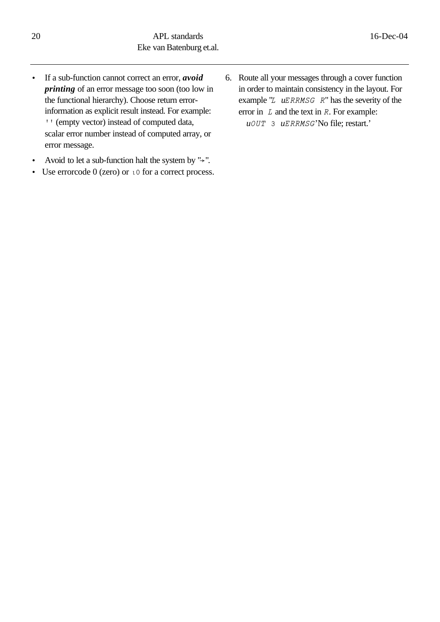- If a sub-function cannot correct an error, *avoid printing* of an error message too soon (too low in the functional hierarchy). Choose return errorinformation as explicit result instead. For example: <sup>*I*</sup> (empty vector) instead of computed data, scalar error number instead of computed array, or error message.
- Avoid to let a sub-function halt the system by  $" \rightarrow"$ .
- Use errorcode 0 (zero) or  $\iota$  0 for a correct process.
- 6. Route all your messages through a cover function in order to maintain consistency in the layout. For example "*L*  $uERRMSG \t R$ " has the severity of the error in *l* and the text in *r*. For example: *uout 3 uerrmsg*'No file; restart.'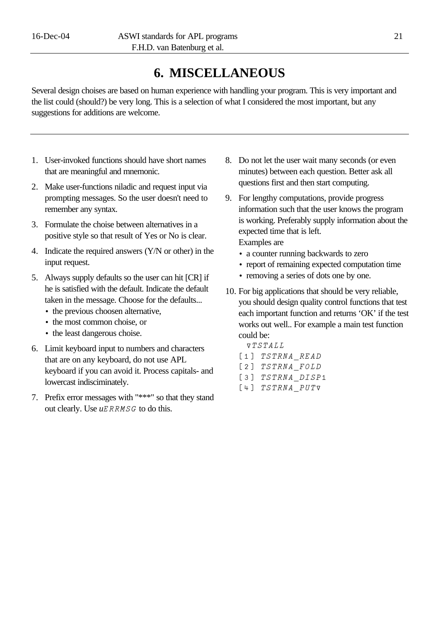# **6. MISCELLANEOUS**

Several design choises are based on human experience with handling your program. This is very important and the list could (should?) be very long. This is a selection of what I considered the most important, but any suggestions for additions are welcome.

- 1. User-invoked functions should have short names that are meaningful and mnemonic.
- 2. Make user-functions niladic and request input via prompting messages. So the user doesn't need to remember any syntax.
- 3. Formulate the choise between alternatives in a positive style so that result of Yes or No is clear.
- 4. Indicate the required answers (Y/N or other) in the input request.
- 5. Always supply defaults so the user can hit [CR] if he is satisfied with the default. Indicate the default taken in the message. Choose for the defaults...
	- the previous choosen alternative,
	- the most common choise, or
	- the least dangerous choise.
- 6. Limit keyboard input to numbers and characters that are on any keyboard, do not use APL keyboard if you can avoid it. Process capitals- and lowercast indisciminately.
- 7. Prefix error messages with "\*\*\*" so that they stand out clearly. Use  $uERRMSG$  to do this.
- 8. Do not let the user wait many seconds (or even minutes) between each question. Better ask all questions first and then start computing.
- 9. For lengthy computations, provide progress information such that the user knows the program is working. Preferably supply information about the expected time that is left. Examples are
	- a counter running backwards to zero
	- report of remaining expected computation time
	- removing a series of dots one by one.
- 10. For big applications that should be very reliable, you should design quality control functions that test each important function and returns 'OK' if the test works out well.. For example a main test function could be:
	- *Gtstall* [1] TSTRNA READ
	- [2] TSTRNA FOLD
	- [3] TSTRNA DISP1
	- *;4' tstrnaFputG*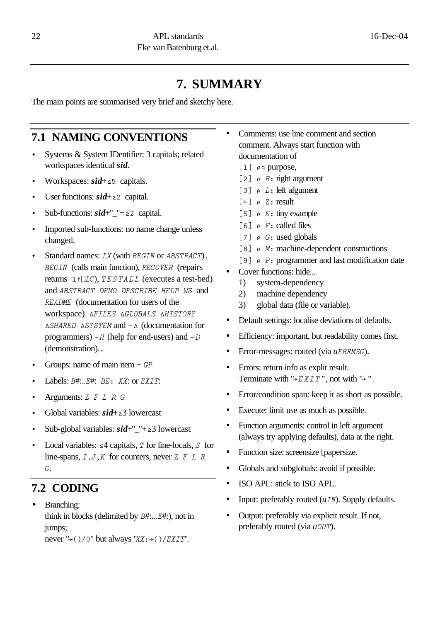# **7. SUMMARY**

The main points are summarised very brief and sketchy here.

### **7.1 NAMING CONVENTIONS**

- Systems & System IDentifier: 3 capitals; related workspaces identical *sid*.
- Workspaces:  $sid+<sub>5</sub>$  capitals.
- User functions:  $sid+z2$  capital.
- Sub-functions:  $sid+''$ <sup>-"</sup>+22 capital.
- Imported sub-functions: no name change unless changed.
- Standard names: *lx* (with *begin* or *abstract*)*, begin* (calls main function), *recover* (repairs returns *1YLlc*), *testall* (executes a test-bed) and *abstract demo describe help ws* and *readme* (documentation for users of the WOTKSPACE) AFILES AGLOBALS AHISTORY *Hshared Hsystem* and *\_H* (documentation for programmers)  $-H$  (help for end-users) and  $-D$ (demonstration).*.*
- Groups: name of main item + *gp*
- Labels: *B*#:..*E*#: *BE*: *XX*: or *EXIT*:
- Arguments: *z f l r g*
- Global variables: *sid*+*^*3 lowercast
- Sub-global variables:  $sid+$ <sup>"</sup> $+$ </sup>  $\geq$ 3 lowercast
- Local variables:  $\leq 4$  capitals, *T* for line-locals, *S* for line-spans,  $I, J, K$  for counters, never  $Z \nvert F \rvert L \rvert R$ *g*.

### **7.2 CODING**

• Branching: think in blocks (delimited by *b*#:...*e*#:), not in jumps;

never " $\rightarrow$  ( ) / 0" but always "*xx* :  $\rightarrow$  ( ) / *EXIT*".

- Comments: use line comment and section comment. Always start function with documentation of
	- [1] aa purpose,
	- $[2]$   $\land$  *R***:** right argument
	- [3]  $\alpha$  *L* : left afgument
	- *;4' ~ z>* result
	- [5]  $\land$  *E* : tiny example
	- $[6]$   $\land$  *F* : called files
	- [7]  $\alpha$  *G*: used globals
	- [8]  $\land$  *M*: machine-dependent constructions
	- [9]  $\alpha$  *P*: programmer and last modification date
- Cover functions: hide...
	- 1) system-dependency
	- 2) machine dependency
	- 3) global data (file or variable).
- Default settings: localise deviations of defaults.
- Efficiency: important, but readability comes first.
- Error-messages: routed (via *uERRMSG*).
- Errors: return info as explit result. Terminate with " $\rightarrow$  *EXIT*", not with " $\rightarrow$ ".
- Error/condition span: keep it as short as possible.
- Execute: limit use as much as possible.
- Function arguments: control in left argument (always try applying defaults), data at the right.
- Function size: screensize *papersize*.
- Globals and subglobals: avoid if possible.
- ISO APL: stick to ISO APL.
- Input: preferably routed (*uin*). Supply defaults.
- Output: preferably via explicit result. If not, preferably routed (via *uout*).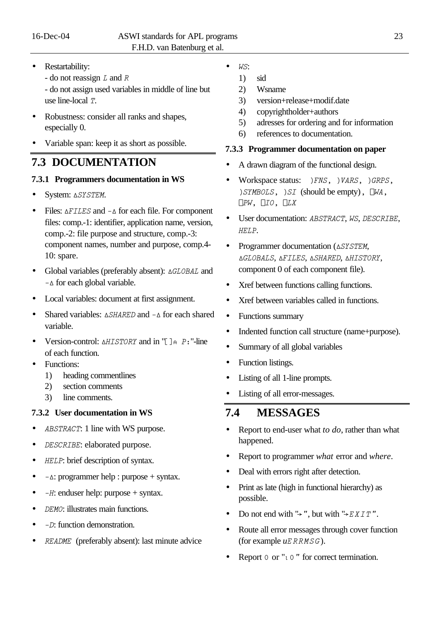- Restartability:
	- do not reassign *l* and *r*

- do not assign used variables in middle of line but use line-local *T*.

- Robustness: consider all ranks and shapes, especially 0.
- Variable span: keep it as short as possible.

### **7.3 DOCUMENTATION**

### **7.3.1 Programmers documentation in WS**

- System:  $\triangle{S}TSTM$ .
- Files:  $\triangle FILES$  and  $-\triangle$  for each file. For component files: comp.-1: identifier, application name, version, comp.-2: file purpose and structure, comp.-3: component names, number and purpose, comp.4- 10: spare.
- Global variables (preferably absent):  $\triangle GLOBAL$  and  $-∆$  for each global variable.
- Local variables: document at first assignment.
- Shared variables:  $\triangle$ *SHARED* and  $-\triangle$  for each shared variable.
- Version-control:  $\triangle HISTORY$  and in " $\parallel \parallel P$ ; "-line of each function.
- Functions:
	- 1) heading commentlines
	- 2) section comments
	- 3) line comments.

### **7.3.2 User documentation in WS**

- *ABSTRACT*: 1 line with WS purpose.
- *describe*: elaborated purpose.
- *help*: brief description of syntax.
- $-\Delta$ : programmer help : purpose + syntax.
- $-H$ : enduser help: purpose + syntax.
- *DEMO*: illustrates main functions.
- $-D$ : function demonstration.
- *readme* (preferably absent): last minute advice
- *ws*:
	- 1) sid
	- 2) Wsname
	- 3) version+release+modif.date
	- 4) copyrightholder+authors
	- 5) adresses for ordering and for information
	- 6) references to documentation.

### **7.3.3 Programmer documentation on paper**

- A drawn diagram of the functional design.
- Workspace status: *FNS, YARS, GRPS, "symbols, "si* (should be empty)*, Lwa, Lpw, Lio, Llx*
- User documentation: *abstract*, *ws*, *describe*, *help*.
- Programmer documentation ( $\triangle{SISTEM}$ , *Hglobals*, *Hfiles*, *Hshared*, *Hhistory*, component 0 of each component file).
- Xref between functions calling functions.
- Xref between variables called in functions.
- Functions summary
- Indented function call structure (name+purpose).
- Summary of all global variables
- Function listings.
- Listing of all 1-line prompts.
- Listing of all error-messages.

### **7.4 MESSAGES**

- Report to end-user what *to do*, rather than what happened.
- Report to programmer *what* error and *where*.
- Deal with errors right after detection.
- Print as late (high in functional hierarchy) as possible.
- Do not end with " $\rightarrow$ ", but with " $\rightarrow$  EXIT".
- Route all error messages through cover function (for example  $uERRMSG$ ).
- Report  $0$  or "*I*  $0$ " for correct termination.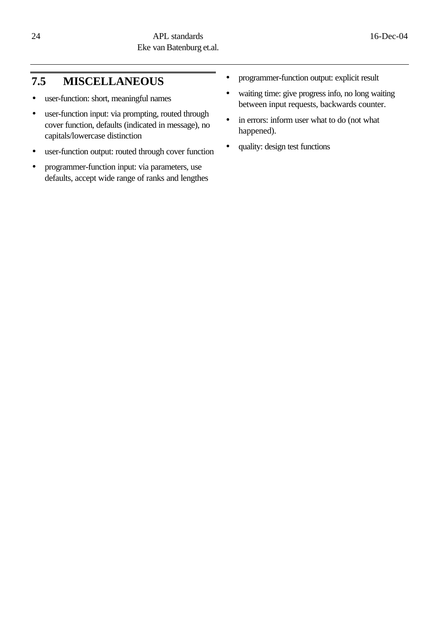# **7.5 MISCELLANEOUS**

- user-function: short, meaningful names
- user-function input: via prompting, routed through cover function, defaults (indicated in message), no capitals/lowercase distinction
- user-function output: routed through cover function
- programmer-function input: via parameters, use defaults, accept wide range of ranks and lengthes
- programmer-function output: explicit result
- waiting time: give progress info, no long waiting between input requests, backwards counter.
- in errors: inform user what to do (not what happened).
- quality: design test functions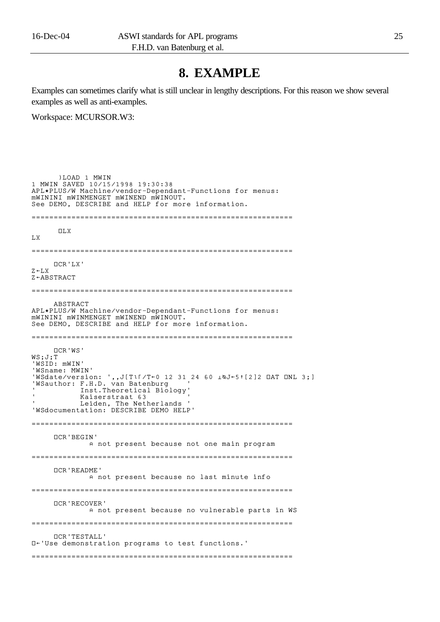# **8. EXAMPLE**

Examples can sometimes clarify what is still unclear in lengthy descriptions. For this reason we show several examples as well as anti-examples.

Workspace: MCURSOR.W3:

 )LOAD 1 MWIN 1 MWIN SAVED 10/15/1998 19:30:38 APL\*PLUS/W Machine/vendor-Dependant-Functions for menus: mWININI mWINMENGET mWINEND mWINOUT. See DEMO, DESCRIBE and HELP for more information. ===========================================================  $\Pi$ . X LX =========================================================== åCR'LX'  $Z \leftarrow I.X$  $Z \leftarrow ABSTRACT$ =========================================================== ABSTRACT APL\*PLUS/W Machine/vendor-Dependant-Functions for menus: mWININI mWINMENGET mWINEND mWINOUT. See DEMO, DESCRIBE and HELP for more information. =========================================================== åCR'WS' WS;J;T 'WSID: mWIN' 'WSname: MWIN'  $WSdate/version: ', J[TlI/T+0 12 31 24 60 JQ+51[2]2 IAT INL 3;]$ 'WSauthor: F.H.D. van Batenburg ' ' Inst.Theoretical Biology' Kaiserstraat 63 ' Leiden, The Netherlands ' 'WSdocumentation: DESCRIBE DEMO HELP' =========================================================== åCR'BEGIN' A not present because not one main program =========================================================== åCR'README' A not present because no last minute info =========================================================== åCR'RECOVER' A not present because no vulnerable parts in WS =========================================================== åCR'TESTALL'  $□$ ←'Use demonstration programs to test functions.' ===========================================================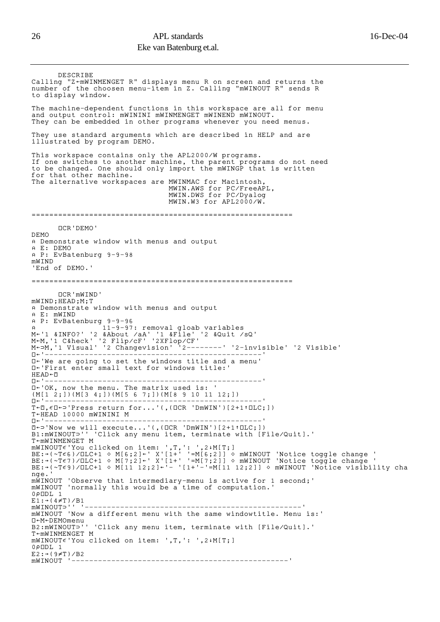```
 DESCRIBE
Calling "Z-mWINMENGET R" displays menu R on screen and returns the
number of the choosen menu-item in Z. Calling "mWINOUT R" sends R
to display window.
The machine-dependent functions in this workspace are all for menu
and output control: mWININI mWINMENGET mWINEND mWINOUT.
They can be embedded in other programs whenever you need menus.
They use standard arguments which are described in HELP and are
illustrated by program DEMO.
This workspace contains only the APL2000/W programs.
If one switches to another machine, the parent programs do not need
to be changed. One should only import the mWINGP that is written
for that other machine.
The alternative workspaces are MWINMAC for Macintosh
                                  MWIN.AWS for PC/FreeAPL,
                                  MWIN.DWS for PC/Dyalog
                                 MWIN.W3 for APL2000/W.
===========================================================
       åCR'DEMO'
DEMO
A Demonstrate window with menus and output
© E: DEMO
© P: EvBatenburg 9-9-98
mWIND
'End of DEMO.'
===========================================================
      åCR'mWIND'
mWIND;HEAD;M;T
A Demonstrate window with menus and output
© E: mWIND 
© P: EvBatenburg 9-9-96
© 11-9-97: removal gloab variables
MÑ'1 &INFO?' '2 &About /aA' '1 &File' '2 &Quit /sQ'
M<M,'1 C&heck' '2 Flip/cF' '2XFlop/CF'
M←⊃M,'1 Visual' '2 Changevision' '2--------' '2-invisible' '2 Visible'
åÑ'-------------------------------------------------'
\Box-'We are going to set the windows title and a menu'
\overline{\mathbb{D}}+'First enter small text for windows title:
HEAD + IIåÑ'-------------------------------------------------'
\square \leftarrow 'OK, now the menu. The matrix used is: '
(M[1 2;])(M[3 4;])(M[5 6 7;])(M[8 9 10 11 12;])
åÑ'-------------------------------------------------'
T \leftarrow \Box, \epsilon \Box \leftarrow > 'Press return for...' (, (\BoxCR 'DmWIN')[2+1\uparrow\BoxLC;])
T←HEAD 10000 mWININI M<br>
\Pi←'--------------------
åÑ'-------------------------------------------------'
\Box \Box'Now we will execute...'(,(\BoxCR 'DmWIN')[2+1\uparrow\BoxLC;])
B1:mWINOUT<sup>{</sup>'' 'Click any menu item, terminate with [File/Quit].'
T \sim mWINMENGET M
mWINOUT\epsilon'You clicked on item: ',T,': ',2↓M[T;]
BE:→(~T∈6)/□LC+1 ◇ M[6;2]←' X'[1+' '=M[6;2]] ◇ mWINOUT 'Notice toggle change '
BE:→(~T∈7)/□LC+1 ◇ M[7;2]←' X'[1+' '=M[7;2]] ◇ mWINOUT 'Notice toggle change '
BE:→(~T∈9)/□LC+1 ◇ M[11 12;2]←'- '[1+'-'=M[11 12;2]] ◇ mWINOUT 'Notice visibility cha
nge.'
mWINOUT 'Observe that intermediary-menu is active for 1 second;'
mWINOUT 'normally this would be a time of computation.'
0½åDL 1
E1:*(4\neq T)/B1mWINOUTú'' '-------------------------------------------------'
mWINOUT 'Now a different menu with the same windowtitle. Menu is:'
□←M←DEMOmenu
B2:mWINOUT<sup>{</sup>'' 'Click any menu item, terminate with [File/Quit].'
T<mWINMENGET M
mWINOUT\epsilon'You clicked on item: ',T,': ',2↓M[T;]
0½åDL 1
E2: \rightarrow (9 \neq T)/B2mWINOUT '-------------------------------------------------'
```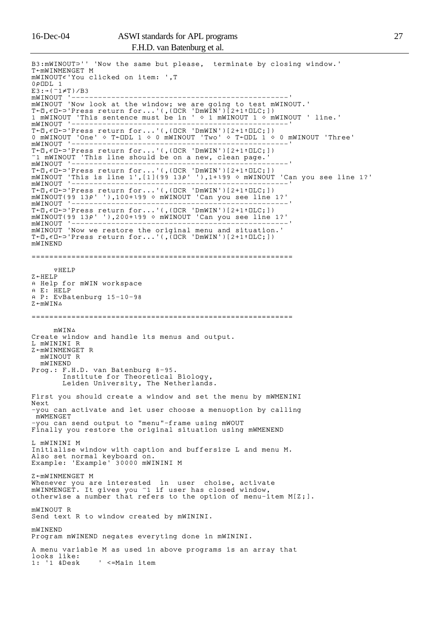#### 16-Dec-04 ASWI standards for APL programs 27 F.H.D. van Batenburg et al.

B3:mWINOUT<sup>-'</sup> 'Now the same but please, terminate by closing window.'  $T$  $~mWINMENGET$  M  $m$ WINOUT $\epsilon$ 'You clicked on item: ',T 0½åDL 1 E3:→(<sup>-</sup>1≠T)/B3 mWINOUT '-------------------------------------------------' mWINOUT 'Now look at the window; we are going to test mWINOUT.' T $\vdash\Box$ , $\in\Box\leftarrow\supset$ 'Press return for...'(,( $\Box$ CR 'DmWIN')[2+1↑ $\Box$ LC;]) 1 mWINOUT 'This sentence must be in ' ™ 1 mWINOUT 1 ™ mWINOUT ' line.' mWINOUT '-------------------------------------------------' T $\vdash\Box$ , $\in\Box\leftarrow\supset$ 'Press return for...'(,( $\Box$ CR 'DmWIN')[2+1↑ $\Box$ LC;]) 0 mWINOUT 'One'  $\diamond$  T $\diamond$ DL 1  $\diamond$  0 mWINOUT 'Two'  $\diamond$  T $\diamond$ DL 1  $\diamond$  0 mWINOUT 'Three' mWINOUT '-------------------------------------------------'  $T$ <sup> $\in$ </sup> $I$ , $\in$  $I$  $\in$  $I$ 'Press return for...'(,( $ICR$  'DmWIN')[2+1 $t$  $CL$ ;]) T1 mWINOUT 'This line should be on a new, clean page. mWINOUT '-------------------------------------------------'  $T \leftarrow \Box$ , $\epsilon \Box \leftarrow$  Press return for...'(,( $\Box$ CR 'DmWIN')[2+1 $\uparrow$  $\Box$ LC;]) <code>mWINOUT</code> 'This is line 1',[1](99 13 $\rho$ ' '),1+ $\iota$ 99  $\diamond$  <code>mWINOUT</code> 'Can you see line 1?' mWINOUT '-------------------------------------------------'  $T \leftarrow \Box$ , $\epsilon \Box \leftarrow$  Press return for...'(,( $\Box$ CR 'DmWIN')[2+1 $\uparrow$  $\Box$ LC;])  $m$ WINOUT(99 13 $\rho$ ' '),100+ $\iota$ 99  $\diamond$  mWINOUT 'Can you see line 1?' mWINOUT '-------------------------------------------------'  $T \leftarrow \Box$ , $\epsilon \Box \leftarrow$  Press return for...'(,( $\Box$ CR 'DmWIN')[2+1 $\uparrow$  $\Box$ LC;]) mWINOUT(99 13½' '),200+º99 ™ mWINOUT 'Can you see line 1?' mWINOUT '-------------------------------------------------' mWINOUT 'Now we restore the original menu and situation.'  $T \leftarrow \mathbb{D}, \epsilon \mathbb{D} \leftarrow \neg$ 'Press return for...'(,( $\Box$ CR 'DmWIN')[2+1 $\uparrow$  $\Box$ LC;]) mWINEND ===========================================================  $\nabla H E I.P$  $Z \leftarrow HET.P$ A Help for mWIN workspace © E: HELP © P: EvBatenburg 15-10-98  $Z \leftarrow mWTN \triangle$ ===========================================================  $mWTN\triangle$ Create window and handle its menus and output. L mWININI R  $Z \leftarrow mWINMENGET$  R mWINOUT R mWINEND Prog.: F.H.D. van Batenburg 8-95. Institute for Theoretical Biology, Leiden University, The Netherlands. First you should create a window and set the menu by mWMENINI Next -you can activate and let user choose a menuoption by calling mWMENGET -you can send output to "menu"-frame using mWOUT Finally you restore the original situation using mWMENEND L mWININI M Initialise window with caption and buffersize L and menu M. Also set normal keyboard on. Example: 'Example' 30000 mWININI M  $Z \leftarrow mWINMENGET$  M Whenever you are interested in user choise, activate mWINMENGET. It gives you  $\overline{\phantom{x}}$  if user has closed window, otherwise a number that refers to the option of menu-item M[Z;]. mWINOUT R Send text R to window created by mWININI. mWINEND Program mWINEND negates everyting done in mWININI. A menu variable M as used in above programs is an array that looks like:<br>1: '1 &Desk ' <=Main item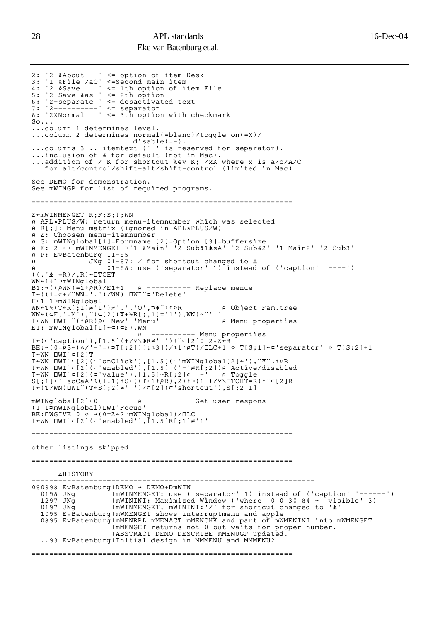```
2: '2 &About ' <= option of item Desk
3: '1 &File /aO' <=Second main item
4: '2 &Save ' <= 1th option of item File
5: '2 Save &as ' <= 2th option
6: '2-separate ' <= desactivated text
7: '2----------' <= separator
8: '2XNormal ' <= 3th option with checkmark
S_0...
...column 1 determines level.
...column 2 determines normal(=blanc)/toggle on(=X)/
 disable(=-).
...columns 3-.. itemtext ('-' is reserved for separator).
...inclusion of & for default (not in Mac).
...addition of / K for shortcut key K; /xK where x is a/c/A/C
 for alt/control/shift-alt/shift-control (limited in Mac)
See DEMO for demonstration.
See mWINGP for list of required programs.
===========================================================
Z \leftarrow mWINMENT R;F;S;T;WN
© APL*PLUS/W: return menu-itemnumber which was selected
© R[;]: Menu-matrix (ignored in APL*PLUS/W)
A Z: Choosen menu-itemnumber
A G: mWINglobal[1]=Formname [2]=Option [3]=buffersize
A E: 2 ←→ mWINMENGET ⊃'1 &Main' '2 Sub&1±sA' '2 Sub&2' '1 Main2' '2 Sub3'
© P: EvBatenburg 11-95
A GNG O1-97: / for shortcut changed to \Phi© 01-98: use ('separator' 1) instead of ('caption' '----')
((, '&')=R)/R)+TCHTWN←1↓1⊃mWINglobal
B1:\rightarrow ((\rhoWN)=1<sup>t</sup>\rhoR)/E1+1 a ---------- Replace menue
T \leftarrow ((1=\epsilon +/"WN='.')/WN) DWI'' \subset 'Delete'F<sup>-1</sup> 1 \sup MINglobal
WN←T\(T←R[;1]≠'1')≁'.','O',⊃T¨t↑PR      A Object Fam.tree
WN \leftarrow (\subseteq F, ' . M') , "(\subseteq [2] (\overline{\Phi} + \prec R[;1] = '1') , WN) ~^{\sim}'' '
T←WN ∐WI '(↑PR)P⊂'New' 'Menu'             A Menu properties
E1: mWINGlobal[1]{\leftarrow}{\subset}({\subset}F), WN
 © ---------- Menu properties
T←(⊂'caption'),[1.5](+/∨\ФR≠' ')↑¨⊂[2]0 2↓Z+R
\texttt{BE:}\rightarrow(0=PS+(^/'-'=(⊃T[;2])[;l3])/l1↑PT)/\texttt{CLC+1} ~\diamond~ \texttt{T[S;1]}\leftarrow separator' ~\diamond~ \texttt{T[S;2]}\leftarrow 1T←WN DWI¨⊂[2]T
\texttt{T}\texttt{<WN} <code>[WI</code> \texttt{`} \texttt{<}[2](<code>c'onClick</code> '),[1.5](<code>c'mWINglobal[2]</code> \texttt{`}'), \texttt{`} \texttt{`} \texttt{`} \texttt{?} \texttt{?}T←WN □WI¨⊂[2](⊂'enabled'),[1.5] ('-'≠R[;2])A Active/disabled
T←WN <code>DWI</code>"⊂[2](<code>⊂'value'),[1.5]~R[;2]\epsilon' -' e Toggle</code>
\mathsf{S}[\;;\,1\,]\leftarrow' scCaA'l(T,1)tS←((T←1t\rho\mathsf{R}),2)t⊃(1-+/<code>v\\BoxTCHT=R</code>)t¨⊂[2]R
T ( T/WN) DWI'' (T \le [;2] \neq ' ')/\subset [2](\subset 'shortcut'),S[;2 1]
mWINglobal[2] + 0 		 A --------- Get user-respons
(1 1úmWINglobal)åWI'Focus'
BE:UNGIVE \t 0 \t \rightarrow (0=Z+2>mWINqlobal)/ULCT \n  WN \Box WI'' \subset [2] (\subset'enabled'), [1.5]R[;1] \neq '1'===========================================================
other listings skipped
===========================================================
      AHISTORY
 -----+-----------+----------------------------------------------
090998 | EvBatenburg | DEMO → DEMO+DmWIN
0198|JNg | ImWINMENGET: use ('separator' 1) instead of ('caption' '------')
1297|JNg | ImWININI: Maximized Window ('where' 0 0 30 84 \rightarrow 'visible' 3)
  0197|JNg | ImWINMENGET, mWININI:'/' for shortcut changed to 'i'
 1095|EvBatenburg|mWMENGET shows interruptmenu and apple
 0895|EvBatenburg|mMENRPL mMENACT mMENCHK and part of mWMENINI into mWMENGET
| | | |mMENGET returns not 0 but waits for proper number.
| | |ABSTRACT DEMO DESCRIBE mMENUGP updated.
  ..93|EvBatenburg|Initial design in MMMENU and MMMENU2
===========================================================
```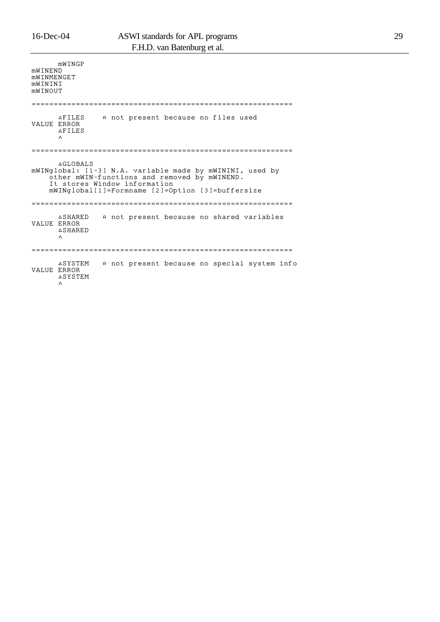| mWTNF.ND<br>MWINMENGET<br>mWININI<br>MWINOUT                                                                                                                                                                    | mWINGP                                     |  |  |  |                                              |  |  |  |  |
|-----------------------------------------------------------------------------------------------------------------------------------------------------------------------------------------------------------------|--------------------------------------------|--|--|--|----------------------------------------------|--|--|--|--|
|                                                                                                                                                                                                                 |                                            |  |  |  |                                              |  |  |  |  |
| <b>VALUE ERROR</b>                                                                                                                                                                                              | <b>AFILES</b><br><b>AFILES</b><br>$\wedge$ |  |  |  | A not present because no files used          |  |  |  |  |
|                                                                                                                                                                                                                 |                                            |  |  |  |                                              |  |  |  |  |
| <b>AGLOBALS</b><br>mWINglobal: [1-3] N.A. variable made by mWININI, used by<br>other mWIN-functions and removed by mWINEND.<br>It stores Window information<br>mWINglobal[1]=Formname [2]=Option [3]=buffersize |                                            |  |  |  |                                              |  |  |  |  |
| VALUE ERROR                                                                                                                                                                                                     | <b>ASHARED</b><br><b>ASHARED</b><br>Λ      |  |  |  | A not present because no shared variables    |  |  |  |  |
| <b>VALUE ERROR</b>                                                                                                                                                                                              | <b>ASYSTEM</b><br><b>ASYSTEM</b><br>∧      |  |  |  | A not present because no special system info |  |  |  |  |